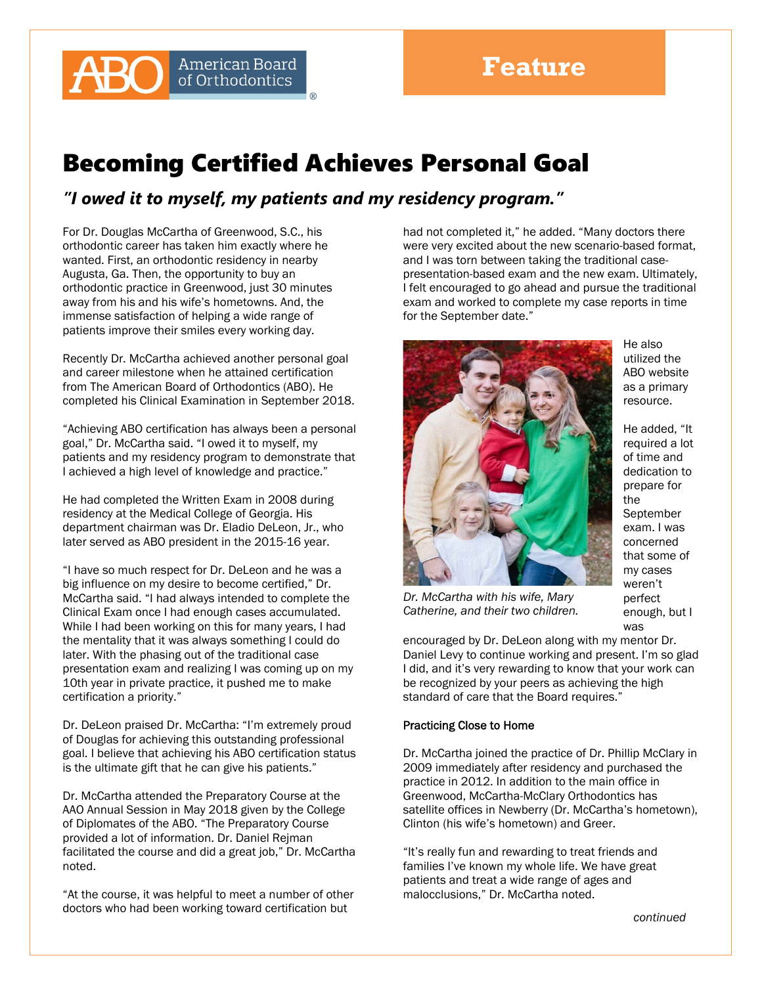## Becoming Certified Achieves Personal Goal

*"I owed it to myself, my patients and my residency program."* 

For Dr. Douglas McCartha of Greenwood, S.C., his orthodontic career has taken him exactly where he wanted. First, an orthodontic residency in nearby Augusta, Ga. Then, the opportunity to buy an orthodontic practice in Greenwood, just 30 minutes away from his and his wife's hometowns. And, the immense satisfaction of helping a wide range of patients improve their smiles every working day.

**American Board** of Orthodontics

Recently Dr. McCartha achieved another personal goal and career milestone when he attained certification from The American Board of Orthodontics (ABO). He completed his Clinical Examination in September 2018.

"Achieving ABO certification has always been a personal goal," Dr. McCartha said. "I owed it to myself, my patients and my residency program to demonstrate that I achieved a high level of knowledge and practice."

He had completed the Written Exam in 2008 during residency at the Medical College of Georgia. His department chairman was Dr. Eladio DeLeon, Jr., who later served as ABO president in the 2015-16 year.

"I have so much respect for Dr. DeLeon and he was a big influence on my desire to become certified," Dr. McCartha said. "I had always intended to complete the Clinical Exam once I had enough cases accumulated. While I had been working on this for many years, I had the mentality that it was always something I could do later. With the phasing out of the traditional case presentation exam and realizing I was coming up on my 10th year in private practice, it pushed me to make certification a priority."

Dr. DeLeon praised Dr. McCartha: "I'm extremely proud of Douglas for achieving this outstanding professional goal. I believe that achieving his ABO certification status is the ultimate gift that he can give his patients."

Dr. McCartha attended the Preparatory Course at the AAO Annual Session in May 2018 given by the College of Diplomates of the ABO. "The Preparatory Course provided a lot of information. Dr. Daniel Rejman facilitated the course and did a great job," Dr. McCartha noted.

"At the course, it was helpful to meet a number of other doctors who had been working toward certification but

had not completed it," he added. "Many doctors there were very excited about the new scenario-based format, and I was torn between taking the traditional casepresentation-based exam and the new exam. Ultimately, I felt encouraged to go ahead and pursue the traditional exam and worked to complete my case reports in time for the September date."



He also utilized the ABO website as a primary resource.

He added, "It required a lot of time and dedication to prepare for the September exam. I was concerned that some of my cases weren't perfect enough, but I was

*Dr. McCartha with his wife, Mary Catherine, and their two children.*

encouraged by Dr. DeLeon along with my mentor Dr. Daniel Levy to continue working and present. I'm so glad I did, and it's very rewarding to know that your work can be recognized by your peers as achieving the high standard of care that the Board requires."

## Practicing Close to Home

Dr. McCartha joined the practice of Dr. Phillip McClary in 2009 immediately after residency and purchased the practice in 2012. In addition to the main office in Greenwood, McCartha-McClary Orthodontics has satellite offices in Newberry (Dr. McCartha's hometown), Clinton (his wife's hometown) and Greer.

"It's really fun and rewarding to treat friends and families I've known my whole life. We have great patients and treat a wide range of ages and malocclusions," Dr. McCartha noted.